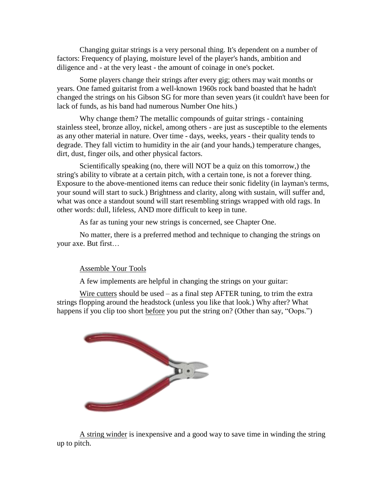Changing guitar strings is a very personal thing. It's dependent on a number of factors: Frequency of playing, moisture level of the player's hands, ambition and diligence and - at the very least - the amount of coinage in one's pocket.

Some players change their strings after every gig; others may wait months or years. One famed guitarist from a well-known 1960s rock band boasted that he hadn't changed the strings on his Gibson SG for more than seven years (it couldn't have been for lack of funds, as his band had numerous Number One hits.)

Why change them? The metallic compounds of guitar strings - containing stainless steel, bronze alloy, nickel, among others - are just as susceptible to the elements as any other material in nature. Over time - days, weeks, years - their quality tends to degrade. They fall victim to humidity in the air (and your hands,) temperature changes, dirt, dust, finger oils, and other physical factors.

Scientifically speaking (no, there will NOT be a quiz on this tomorrow,) the string's ability to vibrate at a certain pitch, with a certain tone, is not a forever thing. Exposure to the above-mentioned items can reduce their sonic fidelity (in layman's terms, your sound will start to suck.) Brightness and clarity, along with sustain, will suffer and, what was once a standout sound will start resembling strings wrapped with old rags. In other words: dull, lifeless, AND more difficult to keep in tune.

As far as tuning your new strings is concerned, see Chapter One.

No matter, there is a preferred method and technique to changing the strings on your axe. But first…

## Assemble Your Tools

A few implements are helpful in changing the strings on your guitar:

Wire cutters should be used – as a final step AFTER tuning, to trim the extra strings flopping around the headstock (unless you like that look.) Why after? What happens if you clip too short before you put the string on? (Other than say, "Oops.")



A string winder is inexpensive and a good way to save time in winding the string up to pitch.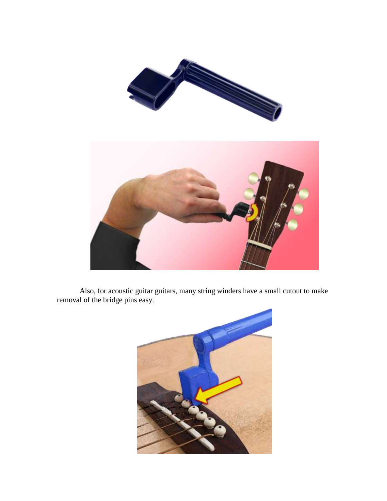

Also, for acoustic guitar guitars, many string winders have a small cutout to make removal of the bridge pins easy.

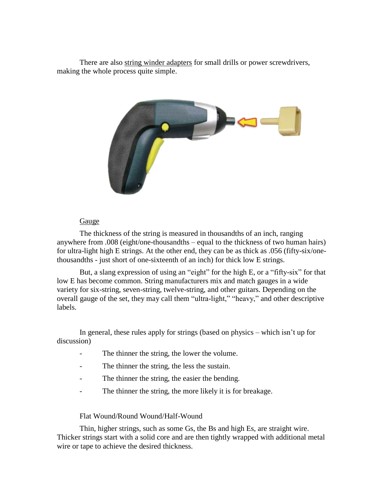There are also string winder adapters for small drills or power screwdrivers, making the whole process quite simple.



## Gauge

The thickness of the string is measured in thousandths of an inch, ranging anywhere from .008 (eight/one-thousandths – equal to the thickness of two human hairs) for ultra-light high E strings. At the other end, they can be as thick as .056 (fifty-six/onethousandths - just short of one-sixteenth of an inch) for thick low E strings.

But, a slang expression of using an "eight" for the high E, or a "fifty-six" for that low E has become common. String manufacturers mix and match gauges in a wide variety for six-string, seven-string, twelve-string, and other guitars. Depending on the overall gauge of the set, they may call them "ultra-light," "heavy," and other descriptive labels.

In general, these rules apply for strings (based on physics – which isn't up for discussion)

- The thinner the string, the lower the volume.
- The thinner the string, the less the sustain.
- The thinner the string, the easier the bending.
- The thinner the string, the more likely it is for breakage.

## Flat Wound/Round Wound/Half-Wound

Thin, higher strings, such as some Gs, the Bs and high Es, are straight wire. Thicker strings start with a solid core and are then tightly wrapped with additional metal wire or tape to achieve the desired thickness.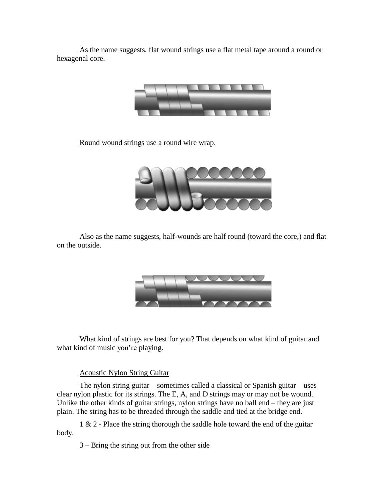As the name suggests, flat wound strings use a flat metal tape around a round or hexagonal core.



Round wound strings use a round wire wrap.



Also as the name suggests, half-wounds are half round (toward the core,) and flat on the outside.



What kind of strings are best for you? That depends on what kind of guitar and what kind of music you're playing.

## Acoustic Nylon String Guitar

The nylon string guitar – sometimes called a classical or Spanish guitar – uses clear nylon plastic for its strings. The E, A, and D strings may or may not be wound. Unlike the other kinds of guitar strings, nylon strings have no ball end – they are just plain. The string has to be threaded through the saddle and tied at the bridge end.

1 & 2 - Place the string thorough the saddle hole toward the end of the guitar body.

3 – Bring the string out from the other side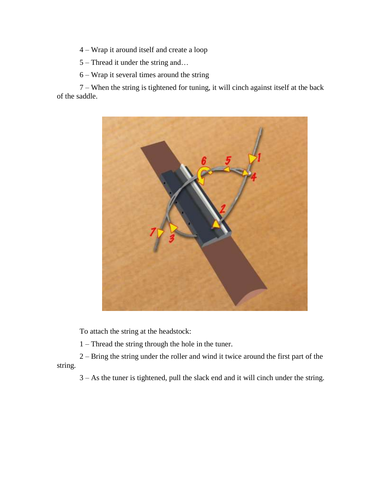– Wrap it around itself and create a loop

– Thread it under the string and…

– Wrap it several times around the string

 – When the string is tightened for tuning, it will cinch against itself at the back of the saddle.



To attach the string at the headstock:

– Thread the string through the hole in the tuner.

 – Bring the string under the roller and wind it twice around the first part of the string.

– As the tuner is tightened, pull the slack end and it will cinch under the string.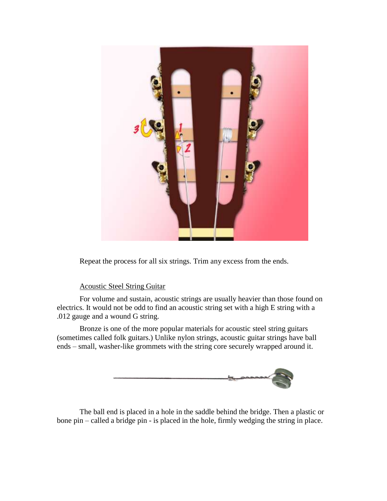

Repeat the process for all six strings. Trim any excess from the ends.

## Acoustic Steel String Guitar

For volume and sustain, acoustic strings are usually heavier than those found on electrics. It would not be odd to find an acoustic string set with a high E string with a .012 gauge and a wound G string.

Bronze is one of the more popular materials for acoustic steel string guitars (sometimes called folk guitars.) Unlike nylon strings, acoustic guitar strings have ball ends – small, washer-like grommets with the string core securely wrapped around it.



The ball end is placed in a hole in the saddle behind the bridge. Then a plastic or bone pin – called a bridge pin - is placed in the hole, firmly wedging the string in place.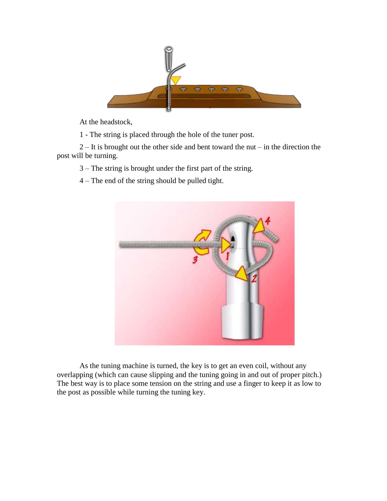

At the headstock,

1 - The string is placed through the hole of the tuner post.

 $2 - It$  is brought out the other side and bent toward the nut – in the direction the post will be turning.

3 – The string is brought under the first part of the string.

4 – The end of the string should be pulled tight.



As the tuning machine is turned, the key is to get an even coil, without any overlapping (which can cause slipping and the tuning going in and out of proper pitch.) The best way is to place some tension on the string and use a finger to keep it as low to the post as possible while turning the tuning key.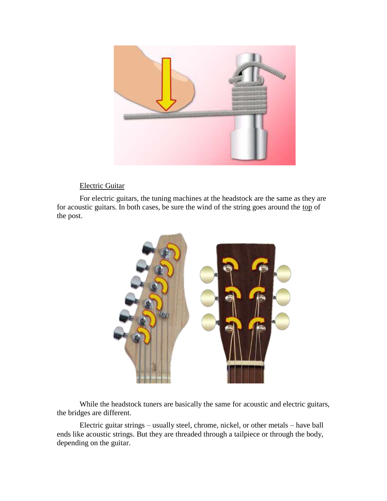

# Electric Guitar

For electric guitars, the tuning machines at the headstock are the same as they are for acoustic guitars. In both cases, be sure the wind of the string goes around the top of the post.



While the headstock tuners are basically the same for acoustic and electric guitars, the bridges are different.

Electric guitar strings – usually steel, chrome, nickel, or other metals – have ball ends like acoustic strings. But they are threaded through a tailpiece or through the body, depending on the guitar.